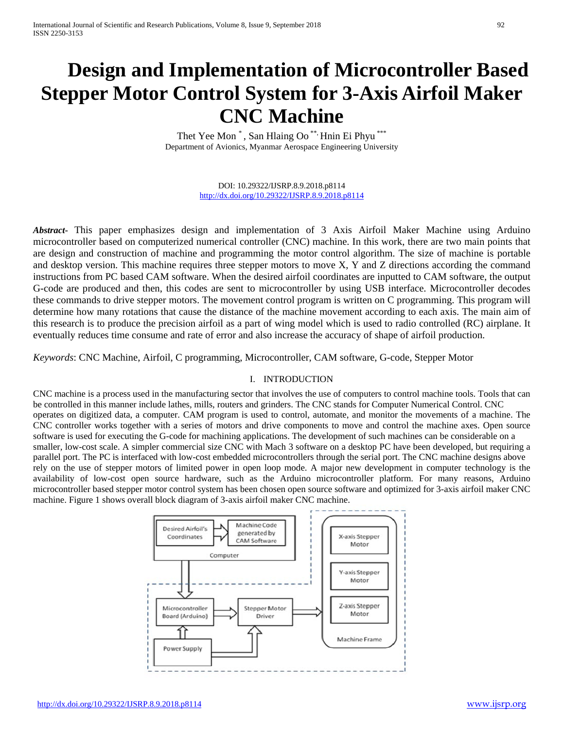# **Design and Implementation of Microcontroller Based Stepper Motor Control System for 3-Axis Airfoil Maker CNC Machine**

Thet Yee Mon<sup>\*</sup>, San Hlaing Oo<sup>\*\*,</sup> Hnin Ei Phyu<sup>\*\*\*</sup> Department of Avionics, Myanmar Aerospace Engineering University

> DOI: 10.29322/IJSRP.8.9.2018.p8114 <http://dx.doi.org/10.29322/IJSRP.8.9.2018.p8114>

*Abstract***-** This paper emphasizes design and implementation of 3 Axis Airfoil Maker Machine using Arduino microcontroller based on computerized numerical controller (CNC) machine. In this work, there are two main points that are design and construction of machine and programming the motor control algorithm. The size of machine is portable and desktop version. This machine requires three stepper motors to move X, Y and Z directions according the command instructions from PC based CAM software. When the desired airfoil coordinates are inputted to CAM software, the output G-code are produced and then, this codes are sent to microcontroller by using USB interface. Microcontroller decodes these commands to drive stepper motors. The movement control program is written on C programming. This program will determine how many rotations that cause the distance of the machine movement according to each axis. The main aim of this research is to produce the precision airfoil as a part of wing model which is used to radio controlled (RC) airplane. It eventually reduces time consume and rate of error and also increase the accuracy of shape of airfoil production.

*Keywords*: CNC Machine, Airfoil, C programming, Microcontroller, CAM software, G-code, Stepper Motor

## I. INTRODUCTION

CNC machine is a process used in the manufacturing sector that involves the use of computers to control machine tools. Tools that can be controlled in this manner include lathes, mills, routers and grinders. The CNC stands for Computer Numerical Control. CNC operates on digitized data, a computer. CAM program is used to control, automate, and monitor the movements of a machine. The CNC controller works together with a series of motors and drive components to move and control the machine axes. Open source software is used for executing the G-code for machining applications. The development of such machines can be considerable on a smaller, low-cost scale. A simpler commercial size CNC with Mach 3 software on a desktop PC have been developed, but requiring a parallel port. The PC is interfaced with low-cost embedded microcontrollers through the serial port. The CNC machine designs above rely on the use of stepper motors of limited power in open loop mode. A major new development in computer technology is the availability of low-cost open source hardware, such as the Arduino microcontroller platform. For many reasons, Arduino microcontroller based stepper motor control system has been chosen open source software and optimized for 3-axis airfoil maker CNC machine. Figure 1 shows overall block diagram of 3-axis airfoil maker CNC machine.

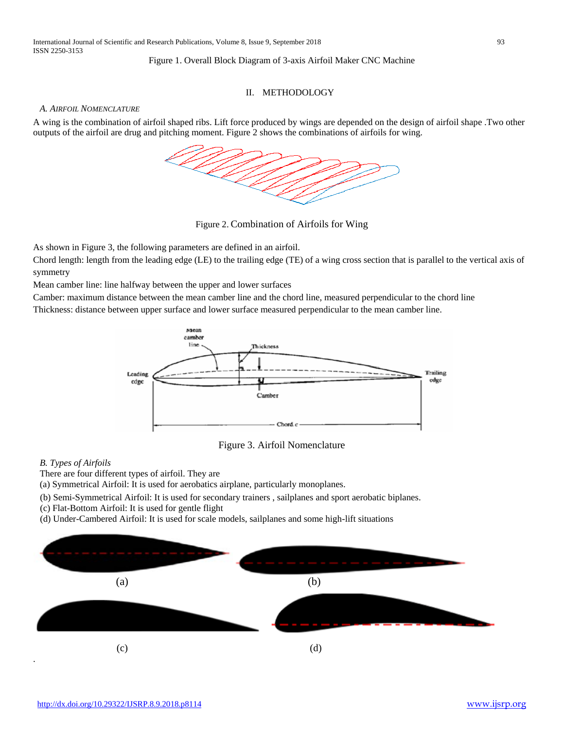#### Figure 1. Overall Block Diagram of 3-axis Airfoil Maker CNC Machine

### II. METHODOLOGY

#### *A. AIRFOIL NOMENCLATURE*

A wing is the combination of airfoil shaped ribs. Lift force produced by wings are depended on the design of airfoil shape .Two other outputs of the airfoil are drug and pitching moment. Figure 2 shows the combinations of airfoils for wing.



Figure 2. Combination of Airfoils for Wing

As shown in Figure 3, the following parameters are defined in an airfoil.

Chord length: length from the leading edge (LE) to the trailing edge (TE) of a wing cross section that is parallel to the vertical axis of symmetry

Mean camber line: line halfway between the upper and lower surfaces

Camber: maximum distance between the mean camber line and the chord line, measured perpendicular to the chord line Thickness: distance between upper surface and lower surface measured perpendicular to the mean camber line.



Figure 3. Airfoil Nomenclature

#### *B. Types of Airfoils*

.

There are four different types of airfoil. They are

(a) Symmetrical Airfoil: It is used for aerobatics airplane, particularly monoplanes.

- (b) Semi-Symmetrical Airfoil: It is used for secondary trainers , sailplanes and sport aerobatic biplanes.
- (c) Flat-Bottom Airfoil: It is used for gentle flight
- (d) Under-Cambered Airfoil: It is used for scale models, sailplanes and some high-lift situations

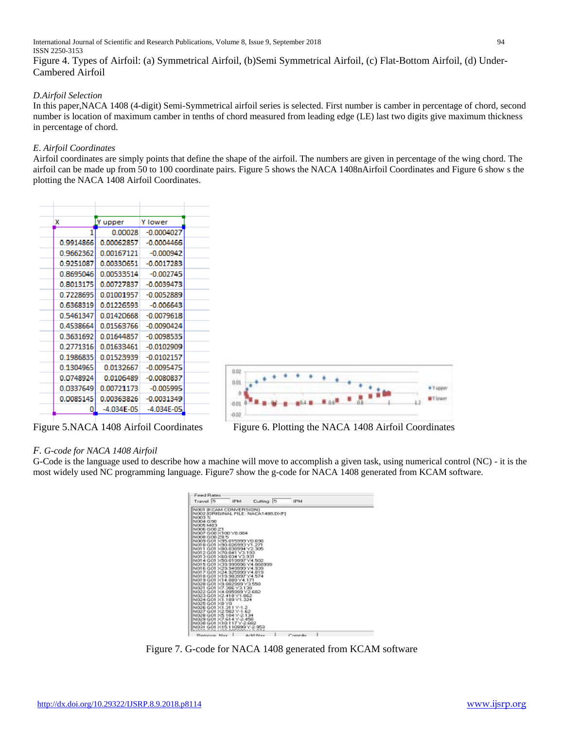International Journal of Scientific and Research Publications, Volume 8, Issue 9, September 2018 94 ISSN 2250-3153

Figure 4. Types of Airfoil: (a) Symmetrical Airfoil, (b)Semi Symmetrical Airfoil, (c) Flat-Bottom Airfoil, (d) Under-Cambered Airfoil

#### *D.Airfoil Selection*

In this paper,NACA 1408 (4-digit) Semi-Symmetrical airfoil series is selected. First number is camber in percentage of chord, second number is location of maximum camber in tenths of chord measured from leading edge (LE) last two digits give maximum thickness in percentage of chord.

#### *E*. *Airfoil Coordinates*

Airfoil coordinates are simply points that define the shape of the airfoil. The numbers are given in percentage of the wing chord. The airfoil can be made up from 50 to 100 coordinate pairs. Figure 5 shows the NACA 1408nAirfoil Coordinates and Figure 6 show s the plotting the NACA 1408 Airfoil Coordinates.

| x         | Y upper        |                |
|-----------|----------------|----------------|
| 1         | 0.00028        | $-0.0004027$   |
| 0.9914866 | 0.00062857     | $-0.0004466$   |
| 0.9662362 | 0.00167121     | $-0.000942$    |
| 0.9251087 | 0.00330651     | $-0.0017283$   |
| 0.8695046 | 0.00533514     | $-0.002745$    |
| 0.8013175 | 0.00727837     | $-0.0039473$   |
| 0.7228695 | 0.01001957     | $-0.0052889$   |
| 0.6368319 | 0.01226593     | $-0.006643$    |
| 0.5461347 | 0.01420668     | $-0.0079618$   |
| 0.4538664 | 0.01563766     | $-0.0090424$   |
| 0.3631692 | 0 01644857     | $-0.0098535$   |
| 0.2771316 | 0.01633461     | $-0.0102909$   |
| 0.1986835 | 0 01523939     | $-0.0102157$   |
| 0.1304965 | 0.0132667      | $-0.0095475$   |
| 0.0748924 | 0.0106489      | $-0.0080837$   |
| 0.0337649 | 0.00721173     | $-0.005995$    |
| 0.0085145 | 0.00363826     | $-0.0031349$   |
| 0         | $-4.034F - 05$ | $-4.034E - 05$ |



Figure 5.NACA 1408 Airfoil Coordinates Figure 6. Plotting the NACA 1408 Airfoil Coordinates

## *F. G-code for NACA 1408 Airfoil*

G-Code is the language used to describe how a machine will move to accomplish a given task, using numerical control (NC) - it is the most widely used NC programming language. Figure7 show the g-code for NACA 1408 generated from KCAM software.

| Feed Rates<br>Travel <sup>1</sup><br>Cutting 15<br><b>IFM</b><br><b>IFM4</b>    |  |
|---------------------------------------------------------------------------------|--|
| NOOT IKCAM CONVERSIONT                                                          |  |
| N002 [ORIGINAL FILE: NACA1405.DMF]                                              |  |
| NOOS 3/                                                                         |  |
| N004 G50                                                                        |  |
| NICOS MOS                                                                       |  |
| N006 G00 21                                                                     |  |
| N007 G00 X100 Y0.004                                                            |  |
| N008 G00 20 5                                                                   |  |
| 8008 GOT X35.015333 Y0.656                                                      |  |
| N010 G01 >(30.026333)/1.271<br>N011 G01 XB0.030994 Y2.305                       |  |
| N012 G01 X70.041 Y3.193                                                         |  |
| N013 GO1 X03 034 Y3.931                                                         |  |
| N014 G01 >(50.019997)/4.502                                                     |  |
| N015 GO1 >CR 999996 Y4.060999                                                   |  |
| N016 G01 X29 949999 Y4.939                                                      |  |
| N017 G01 >(24.925999) Y4.019                                                    |  |
| N010 G01 > 19.90399                                                             |  |
| N019 GO1 X3                                                                     |  |
| N020 GO1 >(3.002999)                                                            |  |
| N021 G01 >7.206 Y2.129                                                          |  |
| N022 GO1 >(4.995999 Y2.602                                                      |  |
| N022 GO1 >(2.419 Y1.962                                                         |  |
| N024 GO1 >1.199 Y1.224                                                          |  |
| N025 GO1 >01 YO                                                                 |  |
| N026 GO1 >0.211 Y-1.2                                                           |  |
| N027 GO1 > 2.592 Y-1.62                                                         |  |
| N029 GO1 >5.104 Y-2.124                                                         |  |
| NI029 GO1 3/7-614                                                               |  |
| N020 GO1 >10.117 Y-2.692                                                        |  |
| N021 G01 X15                                                                    |  |
| 12000-004<br>Charles Harry<br>Who was accessed the former of<br>And All Adverse |  |

Figure 7. G-code for NACA 1408 generated from KCAM software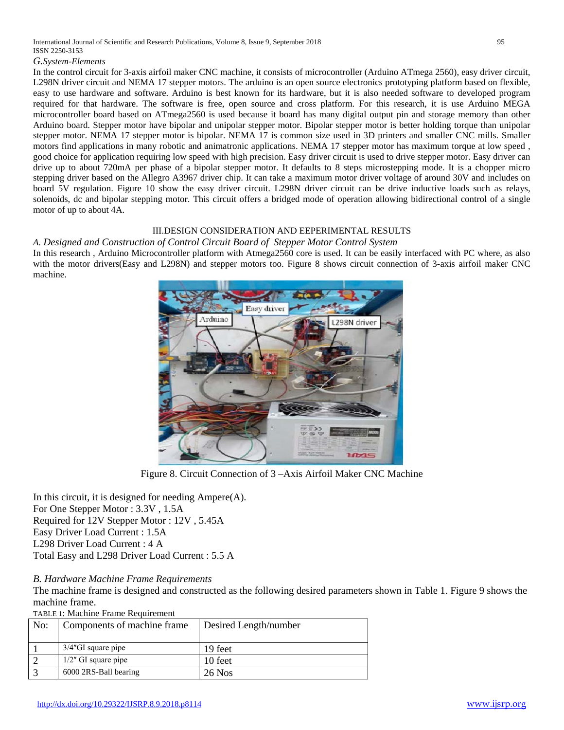#### *G.System-Elements*

In the control circuit for 3-axis airfoil maker CNC machine, it consists of microcontroller (Arduino ATmega 2560), easy driver circuit, L298N driver circuit and NEMA 17 stepper motors. The arduino is an open source electronics prototyping platform based on flexible, easy to use hardware and software. Arduino is best known for its hardware, but it is also needed software to developed program required for that hardware. The software is free, open source and cross platform. For this research, it is use Arduino MEGA microcontroller board based on ATmega2560 is used because it board has many digital output pin and storage memory than other Arduino board. Stepper motor have bipolar and unipolar stepper motor. Bipolar stepper motor is better holding torque than unipolar stepper motor. NEMA 17 stepper motor is bipolar. NEMA 17 is common size used in 3D printers and smaller CNC mills. Smaller motors find applications in many robotic and animatronic applications. NEMA 17 stepper motor has maximum torque at low speed , good choice for application requiring low speed with high precision. Easy driver circuit is used to drive stepper motor. Easy driver can drive up to about 720mA per phase of a bipolar stepper motor. It defaults to 8 steps microstepping mode. It is a chopper micro stepping driver based on the Allegro A3967 driver chip. It can take a maximum motor driver voltage of around 30V and includes on board 5V regulation. Figure 10 show the easy driver circuit. L298N driver circuit can be drive inductive loads such as relays, solenoids, dc and bipolar stepping motor. This circuit offers a bridged mode of operation allowing bidirectional control of a single motor of up to about 4A.

#### III.DESIGN CONSIDERATION AND EEPERIMENTAL RESULTS

*A. Designed and Construction of Control Circuit Board of Stepper Motor Control System* In this research , Arduino Microcontroller platform with Atmega2560 core is used. It can be easily interfaced with PC where, as also with the motor drivers(Easy and L298N) and stepper motors too. Figure 8 shows circuit connection of 3-axis airfoil maker CNC machine.



Figure 8. Circuit Connection of 3 –Axis Airfoil Maker CNC Machine

In this circuit, it is designed for needing  $Ampere(A)$ . For One Stepper Motor : 3.3V , 1.5A Required for 12V Stepper Motor : 12V , 5.45A Easy Driver Load Current : 1.5A L298 Driver Load Current : 4 A Total Easy and L298 Driver Load Current : 5.5 A

# *B. Hardware Machine Frame Requirements*

The machine frame is designed and constructed as the following desired parameters shown in Table 1. Figure 9 shows the machine frame.

TABLE 1: Machine Frame Requirement

| No: | Components of machine frame | Desired Length/number |  |  |  |
|-----|-----------------------------|-----------------------|--|--|--|
|     |                             |                       |  |  |  |
|     | $3/4$ "GI square pipe       | 19 feet               |  |  |  |
|     | $1/2$ " GI square pipe      | 10 feet               |  |  |  |
|     | 6000 2RS-Ball bearing       | 26 Nos                |  |  |  |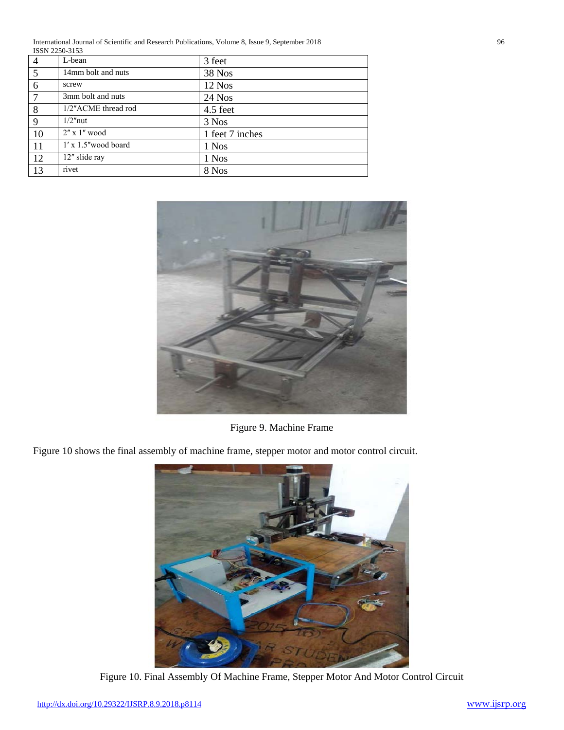International Journal of Scientific and Research Publications, Volume 8, Issue 9, September 2018 96 ISSN 2250-3153

| $\overline{4}$ | L-bean                       | 3 feet          |
|----------------|------------------------------|-----------------|
| 5              | 14mm bolt and nuts           | 38 Nos          |
| 6              | screw                        | 12 Nos          |
| $\overline{7}$ | 3mm bolt and nuts            | 24 Nos          |
| 8              | 1/2"ACME thread rod          | 4.5 feet        |
| 9              | $1/2$ "nut                   | 3 Nos           |
| 10             | $2'' \times 1''$ wood        | 1 feet 7 inches |
| 11             | $1' \times 1.5''$ wood board | 1 Nos           |
| 12             | 12" slide ray                | 1 Nos           |
| 13             | rivet                        | 8 Nos           |



Figure 9. Machine Frame

Figure 10 shows the final assembly of machine frame, stepper motor and motor control circuit.



Figure 10. Final Assembly Of Machine Frame, Stepper Motor And Motor Control Circuit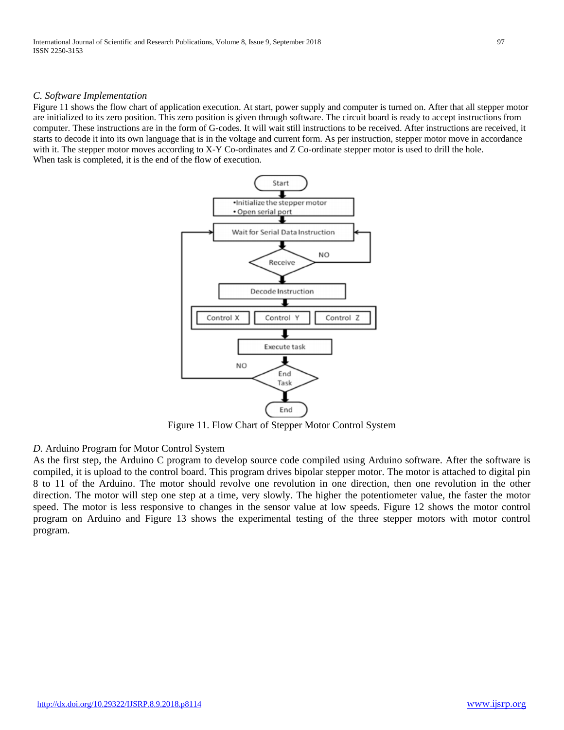#### *C. Software Implementation*

Figure 11 shows the flow chart of application execution. At start, power supply and computer is turned on. After that all stepper motor are initialized to its zero position. This zero position is given through software. The circuit board is ready to accept instructions from computer. These instructions are in the form of G-codes. It will wait still instructions to be received. After instructions are received, it starts to decode it into its own language that is in the voltage and current form. As per instruction, stepper motor move in accordance with it. The stepper motor moves according to X-Y Co-ordinates and Z Co-ordinate stepper motor is used to drill the hole. When task is completed, it is the end of the flow of execution.



Figure 11. Flow Chart of Stepper Motor Control System

## *D.* Arduino Program for Motor Control System

As the first step, the Arduino C program to develop source code compiled using Arduino software. After the software is compiled, it is upload to the control board. This program drives bipolar stepper motor. The motor is attached to digital pin 8 to 11 of the Arduino. The motor should revolve one revolution in one direction, then one revolution in the other direction. The motor will step one step at a time, very slowly. The higher the potentiometer value, the faster the motor speed. The motor is less responsive to changes in the sensor value at low speeds. Figure 12 shows the motor control program on Arduino and Figure 13 shows the experimental testing of the three stepper motors with motor control program.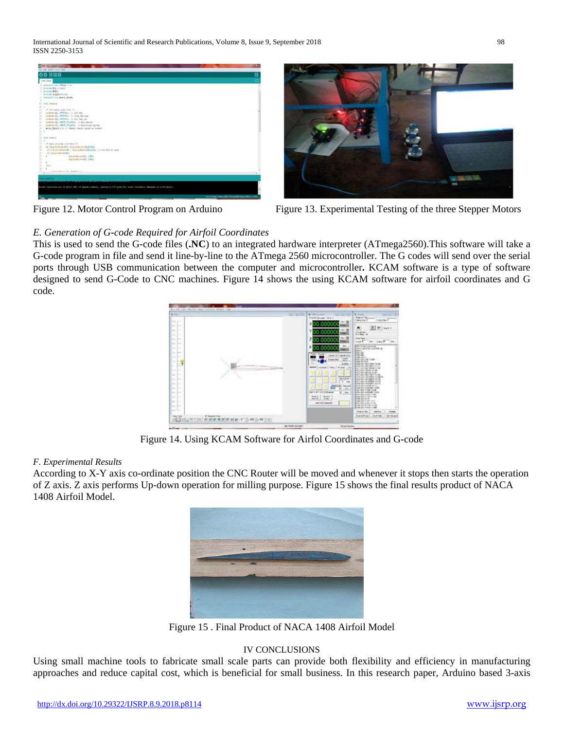International Journal of Scientific and Research Publications, Volume 8, Issue 9, September 2018 98 ISSN 2250-3153





Figure 12. Motor Control Program on Arduino Figure 13. Experimental Testing of the three Stepper Motors

# *E. Generation of G-code Required for Airfoil Coordinates*

This is used to send the G-code files (**.NC**) to an integrated hardware interpreter (ATmega2560).This software will take a G-code program in file and send it line-by-line to the ATmega 2560 microcontroller. The G codes will send over the serial ports through USB communication between the computer and microcontroller**.** KCAM software is a type of software designed to send G-Code to CNC machines. Figure 14 shows the using KCAM software for airfoil coordinates and G code.



Figure 14. Using KCAM Software for Airfol Coordinates and G-code

# *F. Experimental Results*

According to X-Y axis co-ordinate position the CNC Router will be moved and whenever it stops then starts the operation of Z axis. Z axis performs Up-down operation for milling purpose. Figure 15 shows the final results product of NACA 1408 Airfoil Model.



Figure 15 . Final Product of NACA 1408 Airfoil Model

## IV CONCLUSIONS

Using small machine tools to fabricate small scale parts can provide both flexibility and efficiency in manufacturing approaches and reduce capital cost, which is beneficial for small business. In this research paper, Arduino based 3-axis